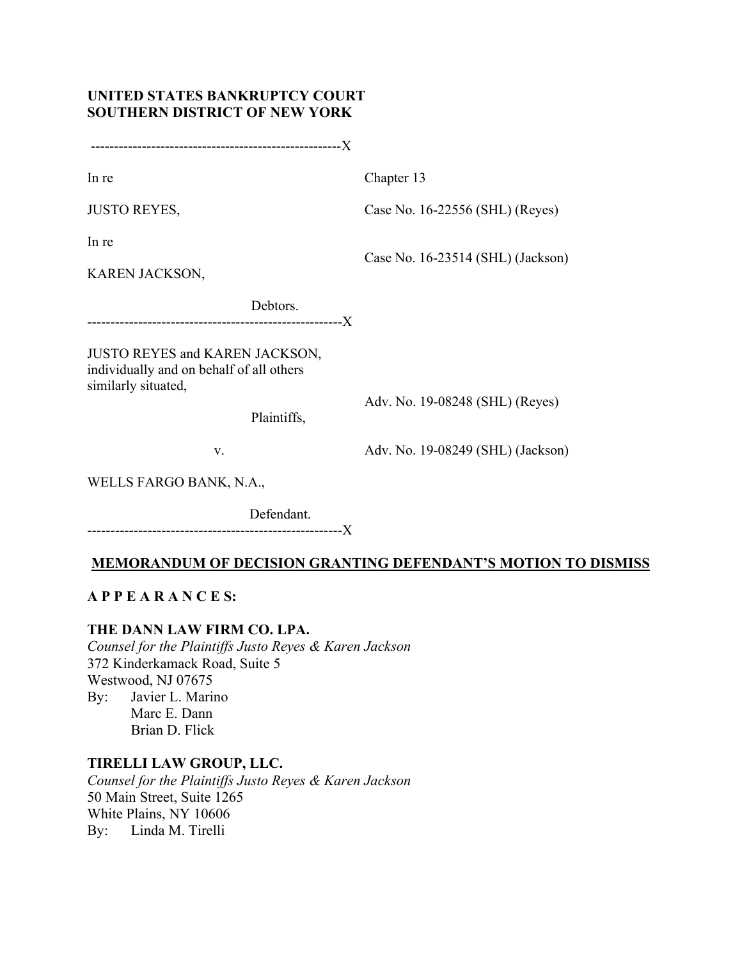# **UNITED STATES BANKRUPTCY COURT SOUTHERN DISTRICT OF NEW YORK**

------------------------------------------------------X

In re

Chapter 13

JUSTO REYES,

Case No. 16-22556 (SHL) (Reyes)

In re

Case No. 16-23514 (SHL) (Jackson)

KAREN JACKSON,

 Debtors. -------------------------------------------------------X

JUSTO REYES and KAREN JACKSON, individually and on behalf of all others similarly situated,

Plaintiffs,

Adv. No. 19-08248 (SHL) (Reyes)

v.

Adv. No. 19-08249 (SHL) (Jackson)

WELLS FARGO BANK, N.A.,

Defendant.

-------------------------------------------------------X

# **MEMORANDUM OF DECISION GRANTING DEFENDANT'S MOTION TO DISMISS**

# **A P P E A R A N C E S:**

# **THE DANN LAW FIRM CO. LPA.**

*Counsel for the Plaintiffs Justo Reyes & Karen Jackson* 372 Kinderkamack Road, Suite 5 Westwood, NJ 07675 By: Javier L. Marino Marc E. Dann Brian D. Flick

# **TIRELLI LAW GROUP, LLC.**

*Counsel for the Plaintiffs Justo Reyes & Karen Jackson* 50 Main Street, Suite 1265 White Plains, NY 10606 By: Linda M. Tirelli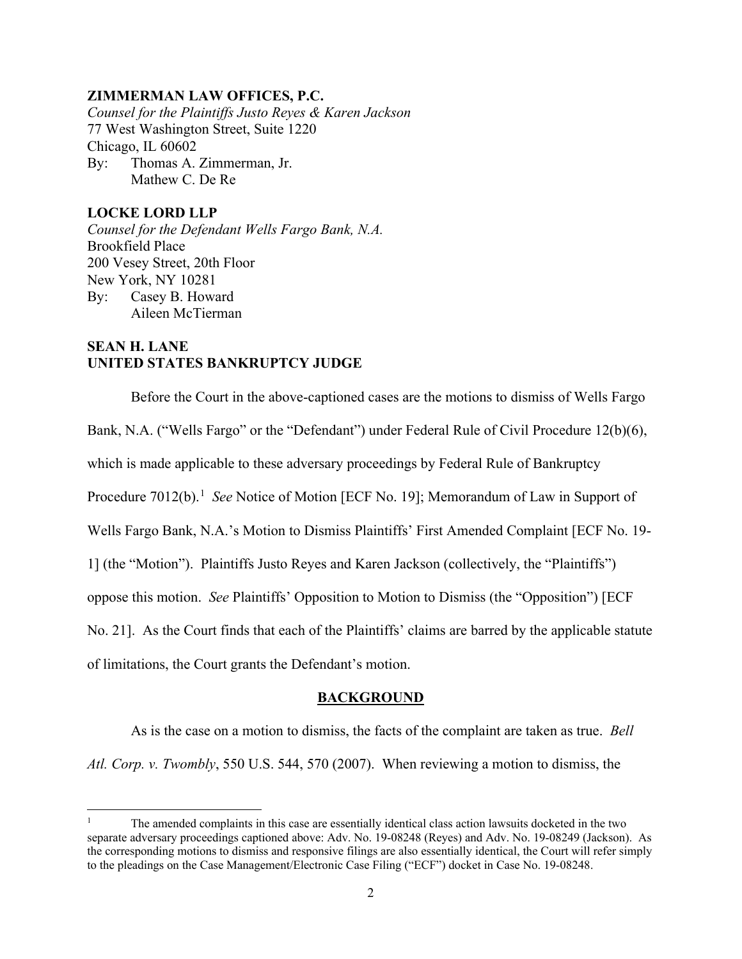## **ZIMMERMAN LAW OFFICES, P.C.**

*Counsel for the Plaintiffs Justo Reyes & Karen Jackson* 77 West Washington Street, Suite 1220 Chicago, IL 60602 By: Thomas A. Zimmerman, Jr. Mathew C. De Re

## **LOCKE LORD LLP**

*Counsel for the Defendant Wells Fargo Bank, N.A.* Brookfield Place 200 Vesey Street, 20th Floor New York, NY 10281 By: Casey B. Howard Aileen McTierman

# **SEAN H. LANE UNITED STATES BANKRUPTCY JUDGE**

Before the Court in the above-captioned cases are the motions to dismiss of Wells Fargo Bank, N.A. ("Wells Fargo" or the "Defendant") under Federal Rule of Civil Procedure 12(b)(6), which is made applicable to these adversary proceedings by Federal Rule of Bankruptcy Procedure 7012(b). [1](#page-1-0) *See* Notice of Motion [ECF No. 19]; Memorandum of Law in Support of Wells Fargo Bank, N.A.'s Motion to Dismiss Plaintiffs' First Amended Complaint [ECF No. 19- 1] (the "Motion"). Plaintiffs Justo Reyes and Karen Jackson (collectively, the "Plaintiffs") oppose this motion. *See* Plaintiffs' Opposition to Motion to Dismiss (the "Opposition") [ECF No. 21]. As the Court finds that each of the Plaintiffs' claims are barred by the applicable statute of limitations, the Court grants the Defendant's motion.

#### **BACKGROUND**

As is the case on a motion to dismiss, the facts of the complaint are taken as true. *Bell Atl. Corp. v. Twombly*, 550 U.S. 544, 570 (2007). When reviewing a motion to dismiss, the

<span id="page-1-0"></span><sup>1</sup> The amended complaints in this case are essentially identical class action lawsuits docketed in the two separate adversary proceedings captioned above: Adv. No. 19-08248 (Reyes) and Adv. No. 19-08249 (Jackson). As the corresponding motions to dismiss and responsive filings are also essentially identical, the Court will refer simply to the pleadings on the Case Management/Electronic Case Filing ("ECF") docket in Case No. 19-08248.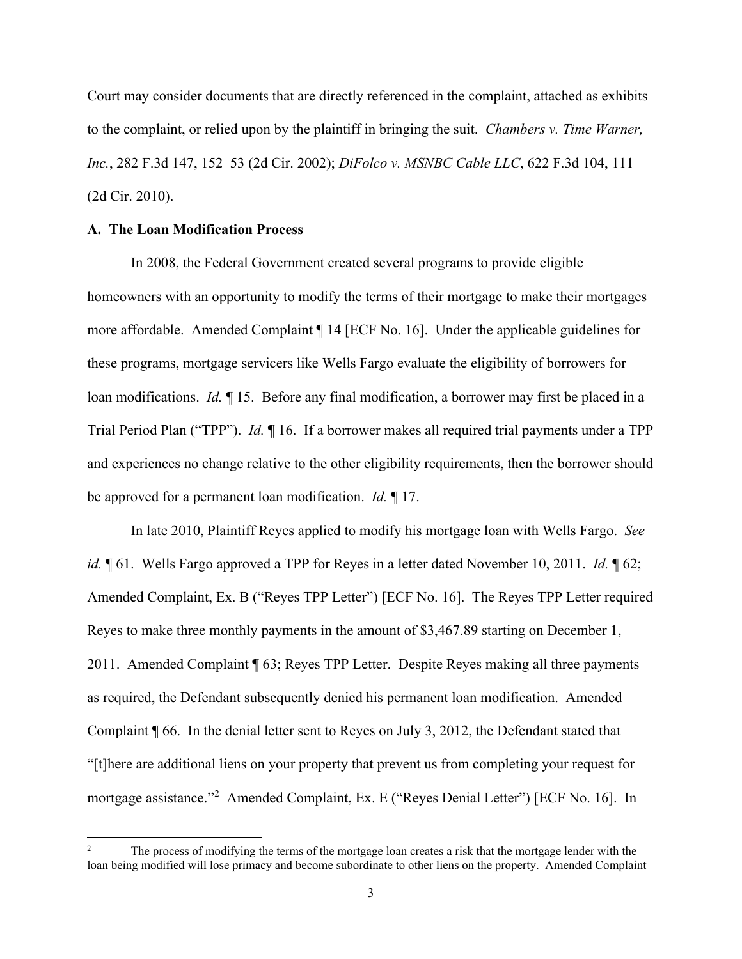Court may consider documents that are directly referenced in the complaint, attached as exhibits to the complaint, or relied upon by the plaintiff in bringing the suit. *Chambers v. Time Warner, Inc.*, 282 F.3d 147, 152–53 (2d Cir. 2002); *DiFolco v. MSNBC Cable LLC*, 622 F.3d 104, 111 (2d Cir. 2010).

## **A. The Loan Modification Process**

In 2008, the Federal Government created several programs to provide eligible homeowners with an opportunity to modify the terms of their mortgage to make their mortgages more affordable. Amended Complaint ¶ 14 [ECF No. 16]. Under the applicable guidelines for these programs, mortgage servicers like Wells Fargo evaluate the eligibility of borrowers for loan modifications. *Id.* ¶ 15. Before any final modification, a borrower may first be placed in a Trial Period Plan ("TPP"). *Id.* ¶ 16. If a borrower makes all required trial payments under a TPP and experiences no change relative to the other eligibility requirements, then the borrower should be approved for a permanent loan modification. *Id.* ¶ 17.

In late 2010, Plaintiff Reyes applied to modify his mortgage loan with Wells Fargo. *See id.*  $\mathop{\P} 61$ . Wells Fargo approved a TPP for Reyes in a letter dated November 10, 2011. *Id.*  $\mathop{\P} 62$ ; Amended Complaint, Ex. B ("Reyes TPP Letter") [ECF No. 16]. The Reyes TPP Letter required Reyes to make three monthly payments in the amount of \$3,467.89 starting on December 1, 2011. Amended Complaint ¶ 63; Reyes TPP Letter. Despite Reyes making all three payments as required, the Defendant subsequently denied his permanent loan modification. Amended Complaint ¶ 66. In the denial letter sent to Reyes on July 3, 2012, the Defendant stated that "[t]here are additional liens on your property that prevent us from completing your request for mortgage assistance."[2](#page-2-0) Amended Complaint, Ex. E ("Reyes Denial Letter") [ECF No. 16]. In

<span id="page-2-0"></span>The process of modifying the terms of the mortgage loan creates a risk that the mortgage lender with the loan being modified will lose primacy and become subordinate to other liens on the property. Amended Complaint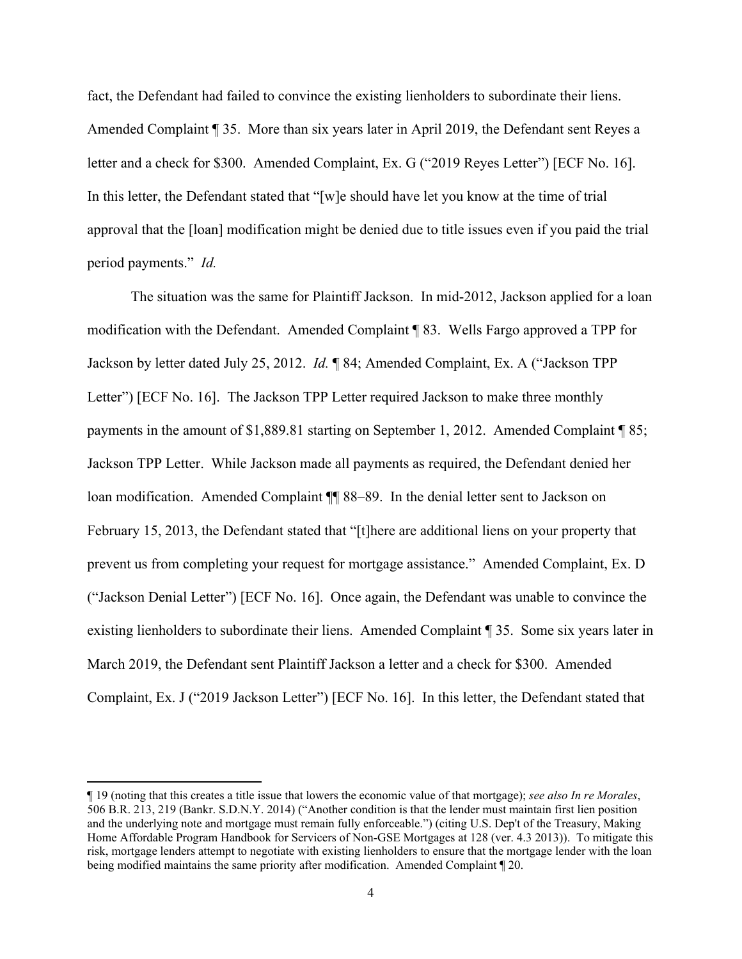fact, the Defendant had failed to convince the existing lienholders to subordinate their liens. Amended Complaint ¶ 35. More than six years later in April 2019, the Defendant sent Reyes a letter and a check for \$300. Amended Complaint, Ex. G ("2019 Reyes Letter") [ECF No. 16]. In this letter, the Defendant stated that "[w]e should have let you know at the time of trial approval that the [loan] modification might be denied due to title issues even if you paid the trial period payments." *Id.*

The situation was the same for Plaintiff Jackson. In mid-2012, Jackson applied for a loan modification with the Defendant. Amended Complaint ¶ 83. Wells Fargo approved a TPP for Jackson by letter dated July 25, 2012. *Id.* ¶ 84; Amended Complaint, Ex. A ("Jackson TPP Letter") [ECF No. 16]. The Jackson TPP Letter required Jackson to make three monthly payments in the amount of \$1,889.81 starting on September 1, 2012. Amended Complaint ¶ 85; Jackson TPP Letter. While Jackson made all payments as required, the Defendant denied her loan modification. Amended Complaint  $\P$  88–89. In the denial letter sent to Jackson on February 15, 2013, the Defendant stated that "[t]here are additional liens on your property that prevent us from completing your request for mortgage assistance." Amended Complaint, Ex. D ("Jackson Denial Letter") [ECF No. 16]. Once again, the Defendant was unable to convince the existing lienholders to subordinate their liens. Amended Complaint ¶ 35. Some six years later in March 2019, the Defendant sent Plaintiff Jackson a letter and a check for \$300. Amended Complaint, Ex. J ("2019 Jackson Letter") [ECF No. 16]. In this letter, the Defendant stated that

<sup>¶ 19</sup> (noting that this creates a title issue that lowers the economic value of that mortgage); *see also In re Morales*, 506 B.R. 213, 219 (Bankr. S.D.N.Y. 2014) ("Another condition is that the lender must maintain first lien position and the underlying note and mortgage must remain fully enforceable.") (citing U.S. Dep't of the Treasury, Making Home Affordable Program Handbook for Servicers of Non-GSE Mortgages at 128 (ver. 4.3 2013)). To mitigate this risk, mortgage lenders attempt to negotiate with existing lienholders to ensure that the mortgage lender with the loan being modified maintains the same priority after modification. Amended Complaint ¶ 20.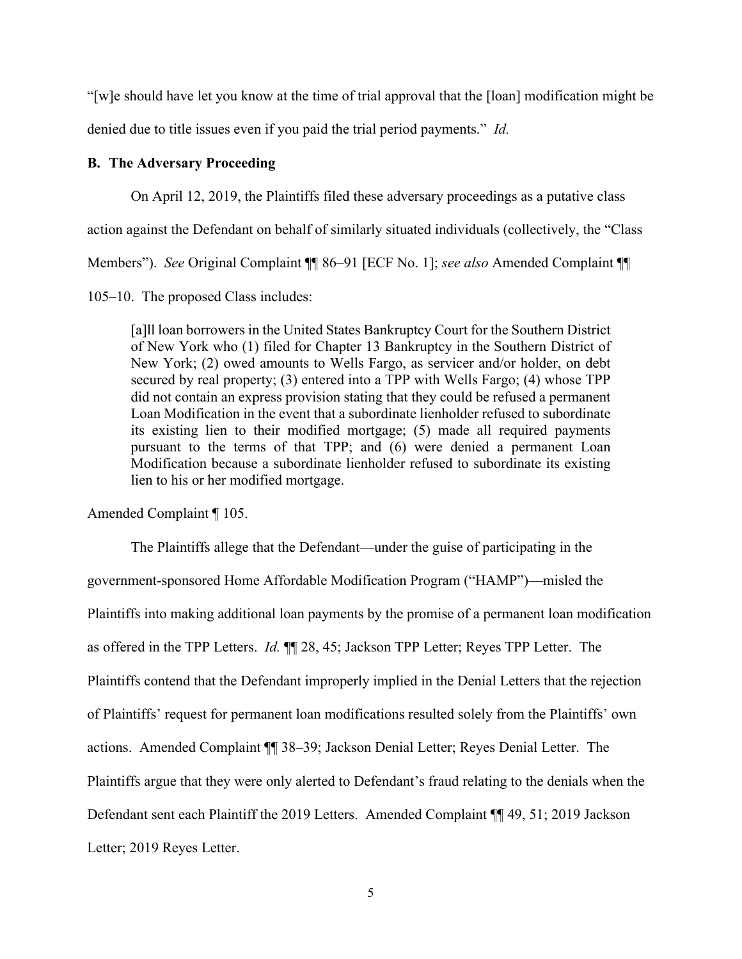"[w]e should have let you know at the time of trial approval that the [loan] modification might be denied due to title issues even if you paid the trial period payments." *Id.*

## **B. The Adversary Proceeding**

On April 12, 2019, the Plaintiffs filed these adversary proceedings as a putative class

action against the Defendant on behalf of similarly situated individuals (collectively, the "Class

Members"). *See* Original Complaint ¶¶ 86–91 [ECF No. 1]; *see also* Amended Complaint ¶¶

105–10. The proposed Class includes:

[a]ll loan borrowers in the United States Bankruptcy Court for the Southern District of New York who (1) filed for Chapter 13 Bankruptcy in the Southern District of New York; (2) owed amounts to Wells Fargo, as servicer and/or holder, on debt secured by real property; (3) entered into a TPP with Wells Fargo; (4) whose TPP did not contain an express provision stating that they could be refused a permanent Loan Modification in the event that a subordinate lienholder refused to subordinate its existing lien to their modified mortgage; (5) made all required payments pursuant to the terms of that TPP; and (6) were denied a permanent Loan Modification because a subordinate lienholder refused to subordinate its existing lien to his or her modified mortgage.

Amended Complaint ¶ 105.

The Plaintiffs allege that the Defendant—under the guise of participating in the government-sponsored Home Affordable Modification Program ("HAMP")—misled the Plaintiffs into making additional loan payments by the promise of a permanent loan modification as offered in the TPP Letters. *Id.* ¶¶ 28, 45; Jackson TPP Letter; Reyes TPP Letter. The Plaintiffs contend that the Defendant improperly implied in the Denial Letters that the rejection of Plaintiffs' request for permanent loan modifications resulted solely from the Plaintiffs' own actions. Amended Complaint ¶¶ 38–39; Jackson Denial Letter; Reyes Denial Letter. The Plaintiffs argue that they were only alerted to Defendant's fraud relating to the denials when the Defendant sent each Plaintiff the 2019 Letters. Amended Complaint ¶¶ 49, 51; 2019 Jackson Letter; 2019 Reyes Letter.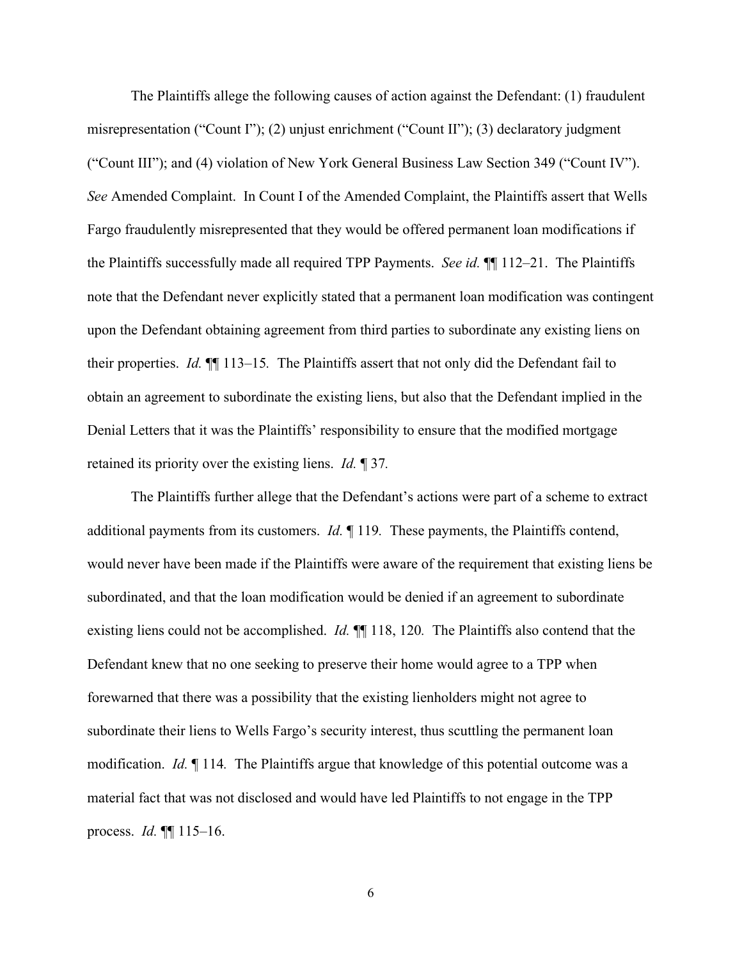The Plaintiffs allege the following causes of action against the Defendant: (1) fraudulent misrepresentation ("Count I"); (2) unjust enrichment ("Count II"); (3) declaratory judgment ("Count III"); and (4) violation of New York General Business Law Section 349 ("Count IV"). *See* Amended Complaint. In Count I of the Amended Complaint, the Plaintiffs assert that Wells Fargo fraudulently misrepresented that they would be offered permanent loan modifications if the Plaintiffs successfully made all required TPP Payments. *See id.* ¶¶ 112–21. The Plaintiffs note that the Defendant never explicitly stated that a permanent loan modification was contingent upon the Defendant obtaining agreement from third parties to subordinate any existing liens on their properties. *Id.* ¶¶ 113–15*.* The Plaintiffs assert that not only did the Defendant fail to obtain an agreement to subordinate the existing liens, but also that the Defendant implied in the Denial Letters that it was the Plaintiffs' responsibility to ensure that the modified mortgage retained its priority over the existing liens. *Id.* ¶ 37*.*

The Plaintiffs further allege that the Defendant's actions were part of a scheme to extract additional payments from its customers. *Id.* ¶ 119*.* These payments, the Plaintiffs contend, would never have been made if the Plaintiffs were aware of the requirement that existing liens be subordinated, and that the loan modification would be denied if an agreement to subordinate existing liens could not be accomplished. *Id.* ¶¶ 118, 120*.* The Plaintiffs also contend that the Defendant knew that no one seeking to preserve their home would agree to a TPP when forewarned that there was a possibility that the existing lienholders might not agree to subordinate their liens to Wells Fargo's security interest, thus scuttling the permanent loan modification. *Id.* ¶ 114*.* The Plaintiffs argue that knowledge of this potential outcome was a material fact that was not disclosed and would have led Plaintiffs to not engage in the TPP process. *Id.* ¶¶ 115–16.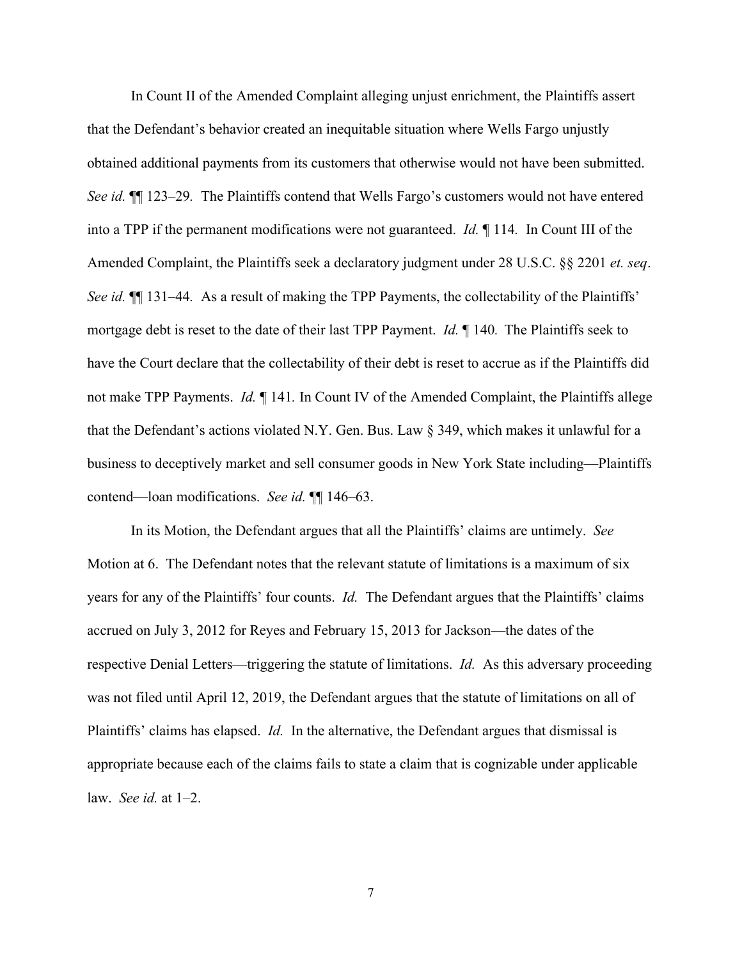In Count II of the Amended Complaint alleging unjust enrichment, the Plaintiffs assert that the Defendant's behavior created an inequitable situation where Wells Fargo unjustly obtained additional payments from its customers that otherwise would not have been submitted. *See id.* ¶¶ 123–29*.* The Plaintiffs contend that Wells Fargo's customers would not have entered into a TPP if the permanent modifications were not guaranteed. *Id.* ¶ 114*.* In Count III of the Amended Complaint, the Plaintiffs seek a declaratory judgment under 28 U.S.C. §§ 2201 *et. seq*. *See id.* ¶¶ 131–44*.* As a result of making the TPP Payments, the collectability of the Plaintiffs' mortgage debt is reset to the date of their last TPP Payment. *Id.* ¶ 140*.* The Plaintiffs seek to have the Court declare that the collectability of their debt is reset to accrue as if the Plaintiffs did not make TPP Payments. *Id.* ¶ 141*.* In Count IV of the Amended Complaint, the Plaintiffs allege that the Defendant's actions violated N.Y. Gen. Bus. Law § 349, which makes it unlawful for a business to deceptively market and sell consumer goods in New York State including—Plaintiffs contend—loan modifications. *See id.* ¶¶ 146–63.

In its Motion, the Defendant argues that all the Plaintiffs' claims are untimely. *See*  Motion at 6. The Defendant notes that the relevant statute of limitations is a maximum of six years for any of the Plaintiffs' four counts. *Id.* The Defendant argues that the Plaintiffs' claims accrued on July 3, 2012 for Reyes and February 15, 2013 for Jackson—the dates of the respective Denial Letters—triggering the statute of limitations. *Id.* As this adversary proceeding was not filed until April 12, 2019, the Defendant argues that the statute of limitations on all of Plaintiffs' claims has elapsed. *Id.* In the alternative, the Defendant argues that dismissal is appropriate because each of the claims fails to state a claim that is cognizable under applicable law. *See id.* at 1–2.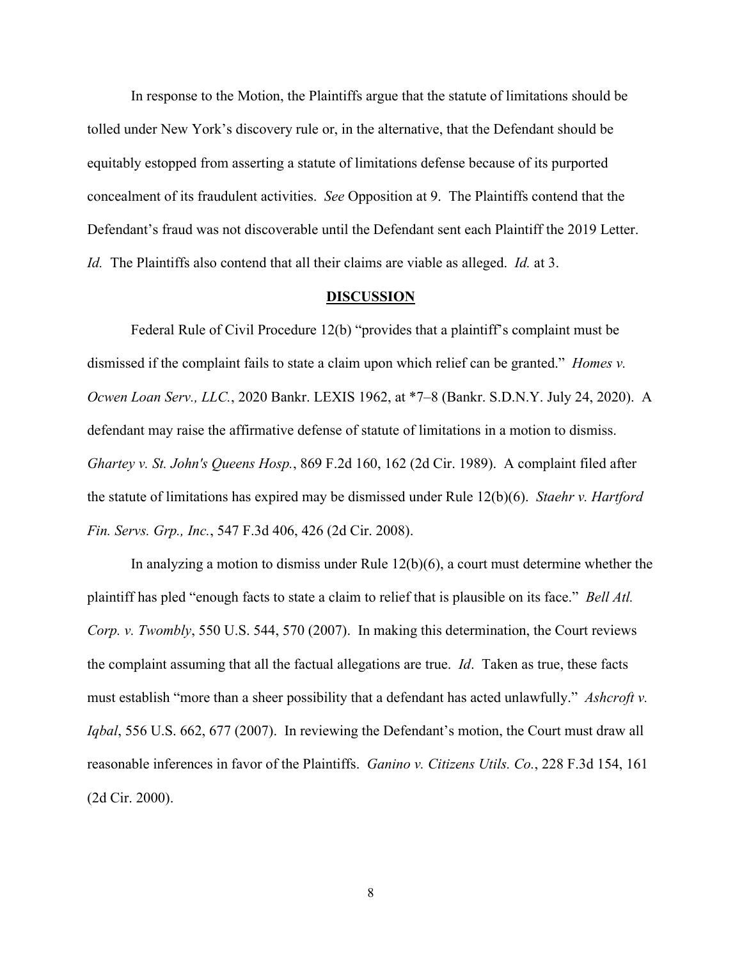In response to the Motion, the Plaintiffs argue that the statute of limitations should be tolled under New York's discovery rule or, in the alternative, that the Defendant should be equitably estopped from asserting a statute of limitations defense because of its purported concealment of its fraudulent activities. *See* Opposition at 9. The Plaintiffs contend that the Defendant's fraud was not discoverable until the Defendant sent each Plaintiff the 2019 Letter. *Id.* The Plaintiffs also contend that all their claims are viable as alleged. *Id.* at 3.

#### **DISCUSSION**

Federal Rule of Civil Procedure 12(b) "provides that a plaintiff's complaint must be dismissed if the complaint fails to state a claim upon which relief can be granted." *Homes v. Ocwen Loan Serv., LLC.*, 2020 Bankr. LEXIS 1962, at \*7–8 (Bankr. S.D.N.Y. July 24, 2020). A defendant may raise the affirmative defense of statute of limitations in a motion to dismiss. *Ghartey v. St. John's Queens Hosp.*, 869 F.2d 160, 162 (2d Cir. 1989). A complaint filed after the statute of limitations has expired may be dismissed under Rule 12(b)(6). *Staehr v. Hartford Fin. Servs. Grp., Inc.*, 547 F.3d 406, 426 (2d Cir. 2008).

In analyzing a motion to dismiss under Rule 12(b)(6), a court must determine whether the plaintiff has pled "enough facts to state a claim to relief that is plausible on its face." *Bell Atl. Corp. v. Twombly*, 550 U.S. 544, 570 (2007). In making this determination, the Court reviews the complaint assuming that all the factual allegations are true. *Id*. Taken as true, these facts must establish "more than a sheer possibility that a defendant has acted unlawfully." *Ashcroft v. Iqbal*, 556 U.S. 662, 677 (2007). In reviewing the Defendant's motion, the Court must draw all reasonable inferences in favor of the Plaintiffs. *Ganino v. Citizens Utils. Co.*, 228 F.3d 154, 161 (2d Cir. 2000).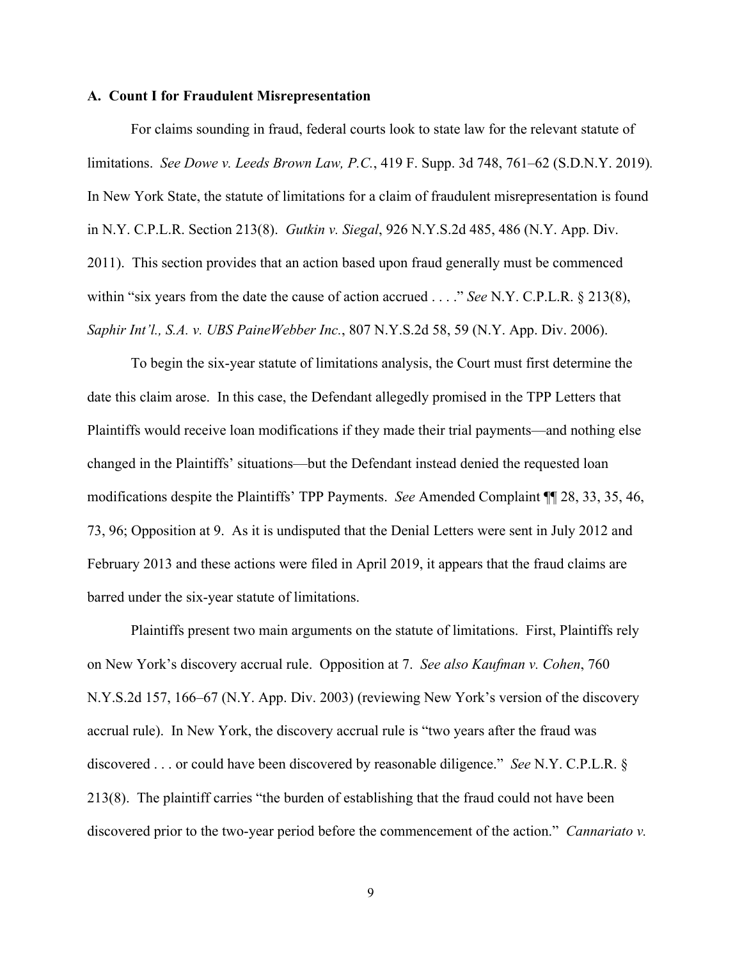#### **A. Count I for Fraudulent Misrepresentation**

For claims sounding in fraud, federal courts look to state law for the relevant statute of limitations. *See Dowe v. Leeds Brown Law, P.C.*, 419 F. Supp. 3d 748, 761–62 (S.D.N.Y. 2019)*.* In New York State, the statute of limitations for a claim of fraudulent misrepresentation is found in N.Y. C.P.L.R. Section 213(8). *Gutkin v. Siegal*, 926 N.Y.S.2d 485, 486 (N.Y. App. Div. 2011). This section provides that an action based upon fraud generally must be commenced within "six years from the date the cause of action accrued . . . ." *See* N.Y. C.P.L.R. § 213(8), *Saphir Int'l., S.A. v. UBS PaineWebber Inc.*, 807 N.Y.S.2d 58, 59 (N.Y. App. Div. 2006).

To begin the six-year statute of limitations analysis, the Court must first determine the date this claim arose. In this case, the Defendant allegedly promised in the TPP Letters that Plaintiffs would receive loan modifications if they made their trial payments—and nothing else changed in the Plaintiffs' situations—but the Defendant instead denied the requested loan modifications despite the Plaintiffs' TPP Payments. *See* Amended Complaint ¶¶ 28, 33, 35, 46, 73, 96; Opposition at 9. As it is undisputed that the Denial Letters were sent in July 2012 and February 2013 and these actions were filed in April 2019, it appears that the fraud claims are barred under the six-year statute of limitations.

Plaintiffs present two main arguments on the statute of limitations. First, Plaintiffs rely on New York's discovery accrual rule. Opposition at 7. *See also Kaufman v. Cohen*, 760 N.Y.S.2d 157, 166–67 (N.Y. App. Div. 2003) (reviewing New York's version of the discovery accrual rule). In New York, the discovery accrual rule is "two years after the fraud was discovered . . . or could have been discovered by reasonable diligence." *See* N.Y. C.P.L.R. § 213(8). The plaintiff carries "the burden of establishing that the fraud could not have been discovered prior to the two-year period before the commencement of the action." *Cannariato v.*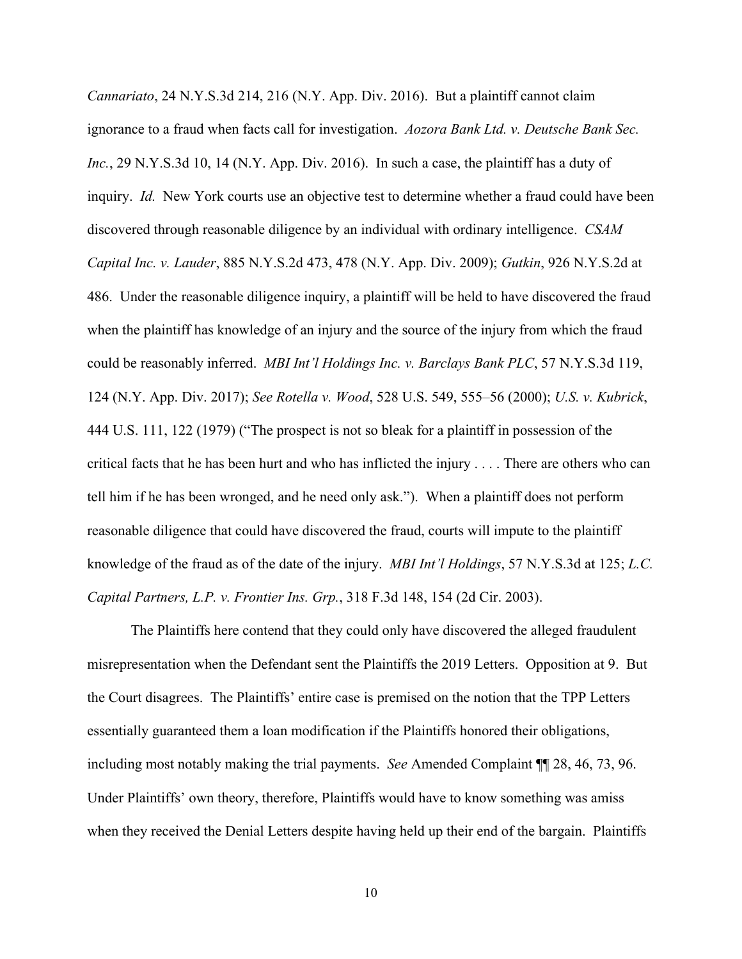*Cannariato*, 24 N.Y.S.3d 214, 216 (N.Y. App. Div. 2016). But a plaintiff cannot claim ignorance to a fraud when facts call for investigation. *Aozora Bank Ltd. v. Deutsche Bank Sec. Inc.*, 29 N.Y.S.3d 10, 14 (N.Y. App. Div. 2016). In such a case, the plaintiff has a duty of inquiry. *Id.* New York courts use an objective test to determine whether a fraud could have been discovered through reasonable diligence by an individual with ordinary intelligence. *CSAM Capital Inc. v. Lauder*, 885 N.Y.S.2d 473, 478 (N.Y. App. Div. 2009); *Gutkin*, 926 N.Y.S.2d at 486. Under the reasonable diligence inquiry, a plaintiff will be held to have discovered the fraud when the plaintiff has knowledge of an injury and the source of the injury from which the fraud could be reasonably inferred. *MBI Int'l Holdings Inc. v. Barclays Bank PLC*, 57 N.Y.S.3d 119, 124 (N.Y. App. Div. 2017); *See Rotella v. Wood*, 528 U.S. 549, 555–56 (2000); *U.S. v. Kubrick*, 444 U.S. 111, 122 (1979) ("The prospect is not so bleak for a plaintiff in possession of the critical facts that he has been hurt and who has inflicted the injury . . . . There are others who can tell him if he has been wronged, and he need only ask."). When a plaintiff does not perform reasonable diligence that could have discovered the fraud, courts will impute to the plaintiff knowledge of the fraud as of the date of the injury. *MBI Int'l Holdings*, 57 N.Y.S.3d at 125; *L.C. Capital Partners, L.P. v. Frontier Ins. Grp.*, 318 F.3d 148, 154 (2d Cir. 2003).

The Plaintiffs here contend that they could only have discovered the alleged fraudulent misrepresentation when the Defendant sent the Plaintiffs the 2019 Letters. Opposition at 9. But the Court disagrees. The Plaintiffs' entire case is premised on the notion that the TPP Letters essentially guaranteed them a loan modification if the Plaintiffs honored their obligations, including most notably making the trial payments. *See* Amended Complaint ¶¶ 28, 46, 73, 96. Under Plaintiffs' own theory, therefore, Plaintiffs would have to know something was amiss when they received the Denial Letters despite having held up their end of the bargain. Plaintiffs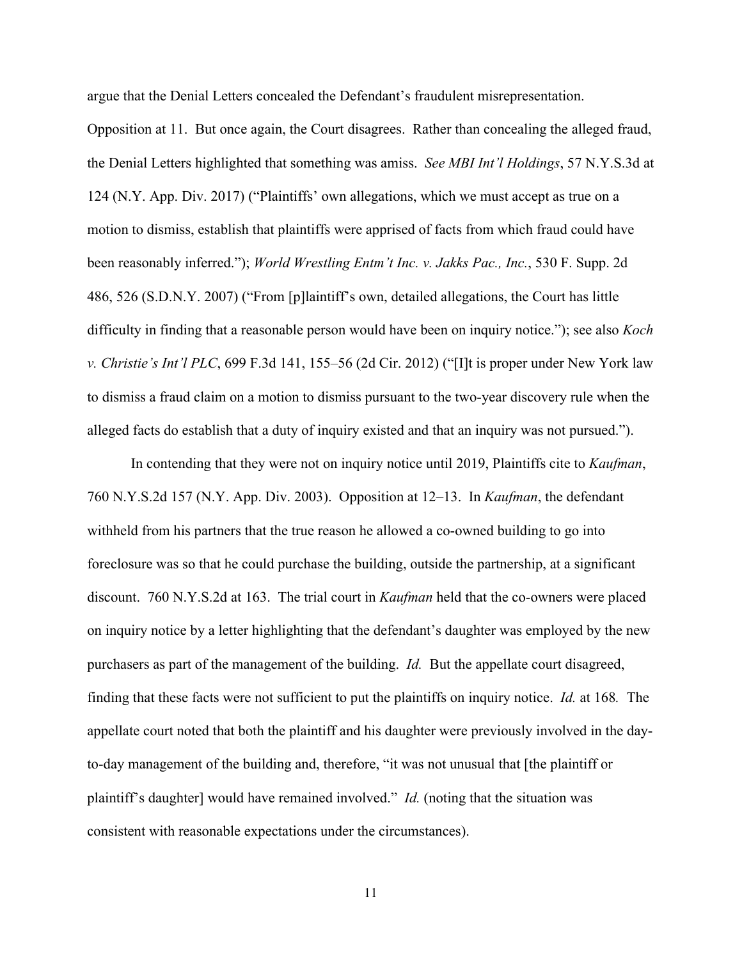argue that the Denial Letters concealed the Defendant's fraudulent misrepresentation.

Opposition at 11. But once again, the Court disagrees. Rather than concealing the alleged fraud, the Denial Letters highlighted that something was amiss. *See MBI Int'l Holdings*, 57 N.Y.S.3d at 124 (N.Y. App. Div. 2017) ("Plaintiffs' own allegations, which we must accept as true on a motion to dismiss, establish that plaintiffs were apprised of facts from which fraud could have been reasonably inferred."); *World Wrestling Entm't Inc. v. Jakks Pac., Inc.*, 530 F. Supp. 2d 486, 526 (S.D.N.Y. 2007) ("From [p]laintiff's own, detailed allegations, the Court has little difficulty in finding that a reasonable person would have been on inquiry notice."); see also *Koch v. Christie's Int'l PLC*, 699 F.3d 141, 155–56 (2d Cir. 2012) ("[I]t is proper under New York law to dismiss a fraud claim on a motion to dismiss pursuant to the two-year discovery rule when the alleged facts do establish that a duty of inquiry existed and that an inquiry was not pursued.").

In contending that they were not on inquiry notice until 2019, Plaintiffs cite to *Kaufman*, 760 N.Y.S.2d 157 (N.Y. App. Div. 2003). Opposition at 12–13. In *Kaufman*, the defendant withheld from his partners that the true reason he allowed a co-owned building to go into foreclosure was so that he could purchase the building, outside the partnership, at a significant discount. 760 N.Y.S.2d at 163. The trial court in *Kaufman* held that the co-owners were placed on inquiry notice by a letter highlighting that the defendant's daughter was employed by the new purchasers as part of the management of the building. *Id.* But the appellate court disagreed, finding that these facts were not sufficient to put the plaintiffs on inquiry notice. *Id.* at 168*.* The appellate court noted that both the plaintiff and his daughter were previously involved in the dayto-day management of the building and, therefore, "it was not unusual that [the plaintiff or plaintiff's daughter] would have remained involved." *Id.* (noting that the situation was consistent with reasonable expectations under the circumstances).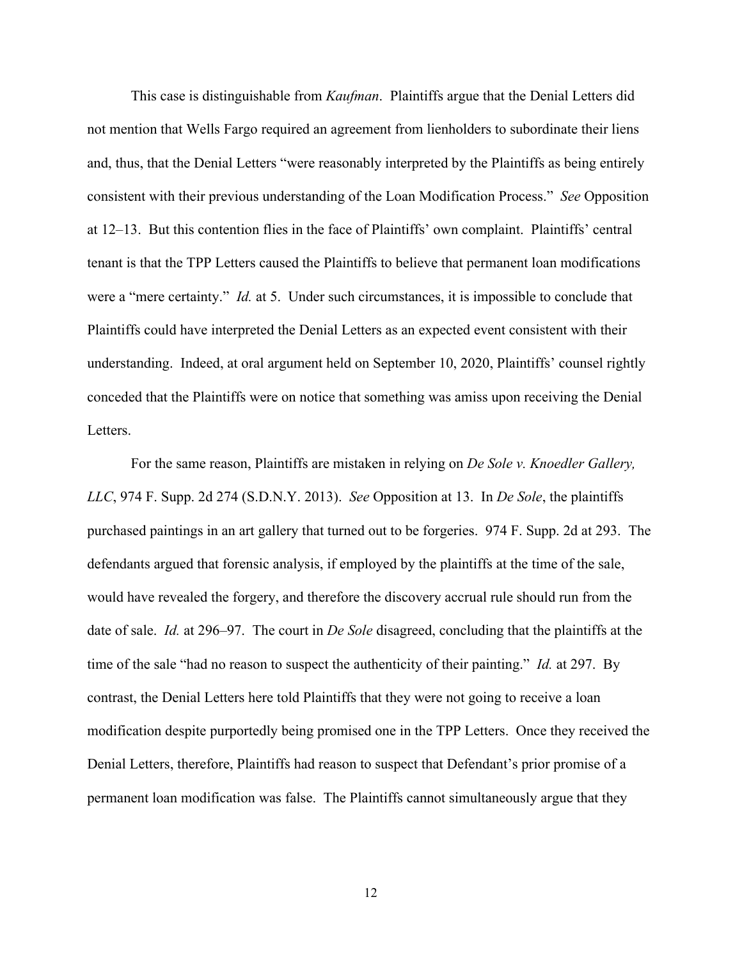This case is distinguishable from *Kaufman*. Plaintiffs argue that the Denial Letters did not mention that Wells Fargo required an agreement from lienholders to subordinate their liens and, thus, that the Denial Letters "were reasonably interpreted by the Plaintiffs as being entirely consistent with their previous understanding of the Loan Modification Process." *See* Opposition at 12–13. But this contention flies in the face of Plaintiffs' own complaint. Plaintiffs' central tenant is that the TPP Letters caused the Plaintiffs to believe that permanent loan modifications were a "mere certainty." *Id.* at 5. Under such circumstances, it is impossible to conclude that Plaintiffs could have interpreted the Denial Letters as an expected event consistent with their understanding. Indeed, at oral argument held on September 10, 2020, Plaintiffs' counsel rightly conceded that the Plaintiffs were on notice that something was amiss upon receiving the Denial Letters.

For the same reason, Plaintiffs are mistaken in relying on *De Sole v. Knoedler Gallery, LLC*, 974 F. Supp. 2d 274 (S.D.N.Y. 2013). *See* Opposition at 13. In *De Sole*, the plaintiffs purchased paintings in an art gallery that turned out to be forgeries. 974 F. Supp. 2d at 293. The defendants argued that forensic analysis, if employed by the plaintiffs at the time of the sale, would have revealed the forgery, and therefore the discovery accrual rule should run from the date of sale. *Id.* at 296–97. The court in *De Sole* disagreed, concluding that the plaintiffs at the time of the sale "had no reason to suspect the authenticity of their painting." *Id.* at 297. By contrast, the Denial Letters here told Plaintiffs that they were not going to receive a loan modification despite purportedly being promised one in the TPP Letters. Once they received the Denial Letters, therefore, Plaintiffs had reason to suspect that Defendant's prior promise of a permanent loan modification was false. The Plaintiffs cannot simultaneously argue that they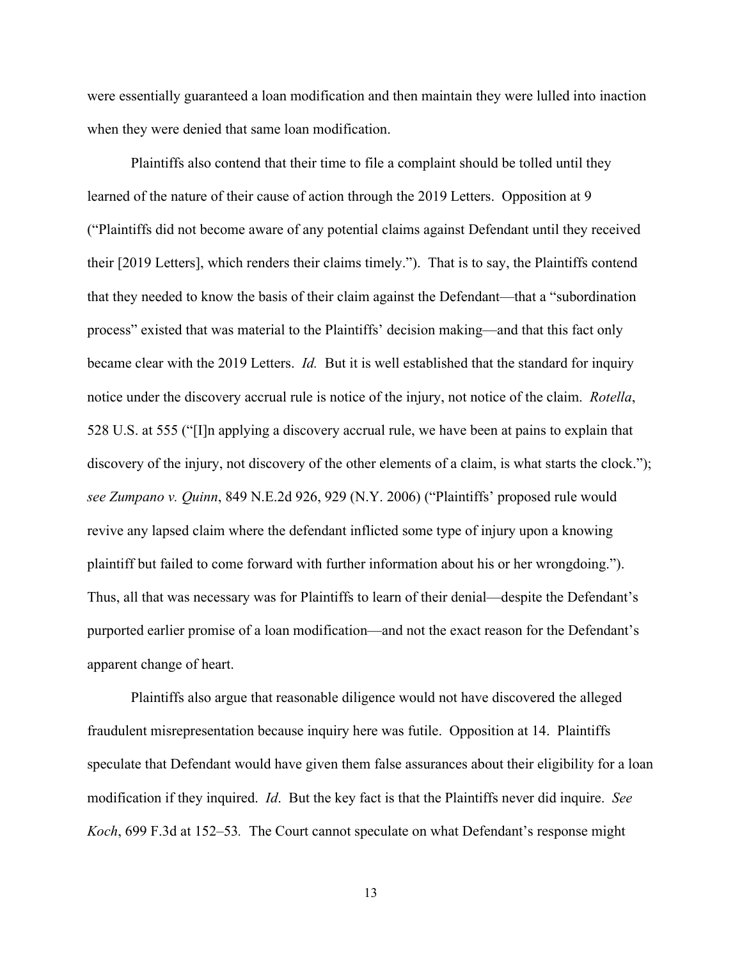were essentially guaranteed a loan modification and then maintain they were lulled into inaction when they were denied that same loan modification.

Plaintiffs also contend that their time to file a complaint should be tolled until they learned of the nature of their cause of action through the 2019 Letters. Opposition at 9 ("Plaintiffs did not become aware of any potential claims against Defendant until they received their [2019 Letters], which renders their claims timely."). That is to say, the Plaintiffs contend that they needed to know the basis of their claim against the Defendant—that a "subordination process" existed that was material to the Plaintiffs' decision making—and that this fact only became clear with the 2019 Letters. *Id.* But it is well established that the standard for inquiry notice under the discovery accrual rule is notice of the injury, not notice of the claim. *Rotella*, 528 U.S. at 555 ("[I]n applying a discovery accrual rule, we have been at pains to explain that discovery of the injury, not discovery of the other elements of a claim, is what starts the clock."); *see Zumpano v. Quinn*, 849 N.E.2d 926, 929 (N.Y. 2006) ("Plaintiffs' proposed rule would revive any lapsed claim where the defendant inflicted some type of injury upon a knowing plaintiff but failed to come forward with further information about his or her wrongdoing."). Thus, all that was necessary was for Plaintiffs to learn of their denial—despite the Defendant's purported earlier promise of a loan modification—and not the exact reason for the Defendant's apparent change of heart.

Plaintiffs also argue that reasonable diligence would not have discovered the alleged fraudulent misrepresentation because inquiry here was futile. Opposition at 14. Plaintiffs speculate that Defendant would have given them false assurances about their eligibility for a loan modification if they inquired. *Id*. But the key fact is that the Plaintiffs never did inquire. *See Koch*, 699 F.3d at 152–53*.* The Court cannot speculate on what Defendant's response might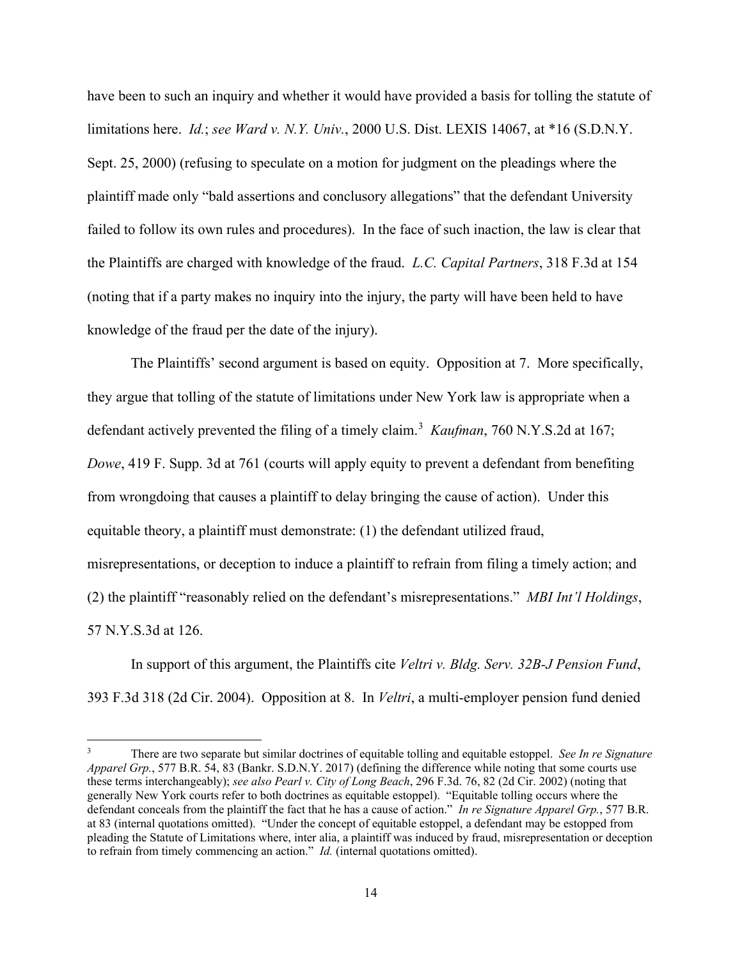have been to such an inquiry and whether it would have provided a basis for tolling the statute of limitations here. *Id.*; *see Ward v. N.Y. Univ.*, 2000 U.S. Dist. LEXIS 14067, at \*16 (S.D.N.Y. Sept. 25, 2000) (refusing to speculate on a motion for judgment on the pleadings where the plaintiff made only "bald assertions and conclusory allegations" that the defendant University failed to follow its own rules and procedures). In the face of such inaction, the law is clear that the Plaintiffs are charged with knowledge of the fraud. *L.C. Capital Partners*, 318 F.3d at 154 (noting that if a party makes no inquiry into the injury, the party will have been held to have knowledge of the fraud per the date of the injury).

The Plaintiffs' second argument is based on equity. Opposition at 7. More specifically, they argue that tolling of the statute of limitations under New York law is appropriate when a defendant actively prevented the filing of a timely claim.<sup>[3](#page-13-0)</sup> Kaufman, 760 N.Y.S.2d at 167; *Dowe*, 419 F. Supp. 3d at 761 (courts will apply equity to prevent a defendant from benefiting from wrongdoing that causes a plaintiff to delay bringing the cause of action). Under this equitable theory, a plaintiff must demonstrate: (1) the defendant utilized fraud, misrepresentations, or deception to induce a plaintiff to refrain from filing a timely action; and (2) the plaintiff "reasonably relied on the defendant's misrepresentations." *MBI Int'l Holdings*, 57 N.Y.S.3d at 126.

In support of this argument, the Plaintiffs cite *Veltri v. Bldg. Serv. 32B-J Pension Fund*, 393 F.3d 318 (2d Cir. 2004). Opposition at 8. In *Veltri*, a multi-employer pension fund denied

<span id="page-13-0"></span><sup>3</sup> There are two separate but similar doctrines of equitable tolling and equitable estoppel. *See In re Signature Apparel Grp.*, 577 B.R. 54, 83 (Bankr. S.D.N.Y. 2017) (defining the difference while noting that some courts use these terms interchangeably); *see also Pearl v. City of Long Beach*, 296 F.3d. 76, 82 (2d Cir. 2002) (noting that generally New York courts refer to both doctrines as equitable estoppel). "Equitable tolling occurs where the defendant conceals from the plaintiff the fact that he has a cause of action." *In re Signature Apparel Grp.*, 577 B.R. at 83 (internal quotations omitted). "Under the concept of equitable estoppel, a defendant may be estopped from pleading the Statute of Limitations where, inter alia, a plaintiff was induced by fraud, misrepresentation or deception to refrain from timely commencing an action." *Id.* (internal quotations omitted).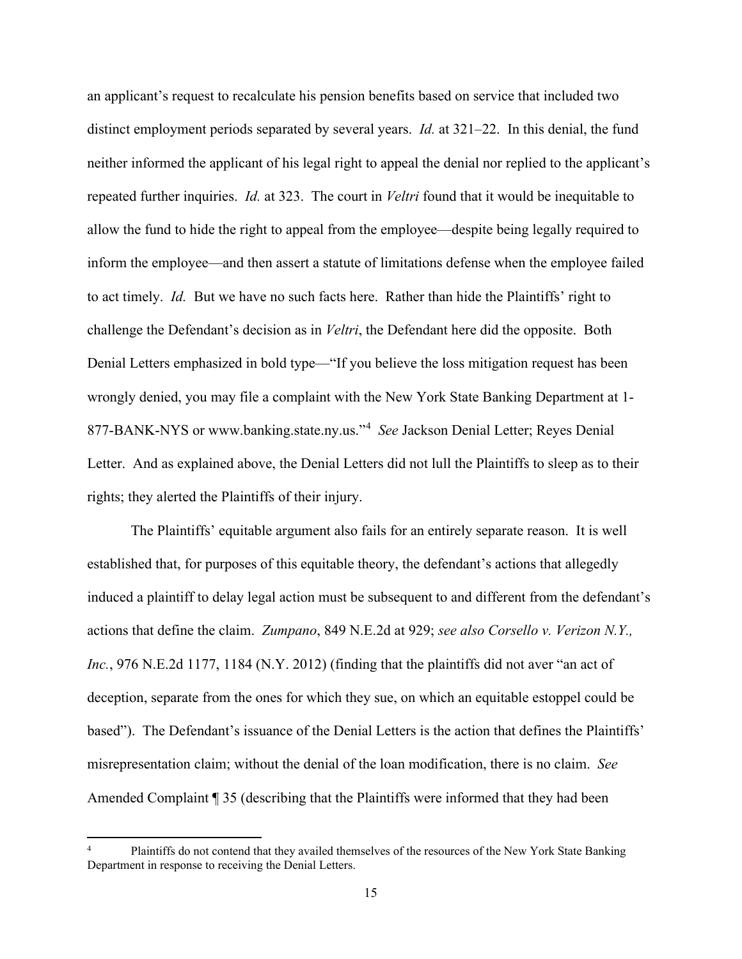an applicant's request to recalculate his pension benefits based on service that included two distinct employment periods separated by several years. *Id.* at 321–22. In this denial, the fund neither informed the applicant of his legal right to appeal the denial nor replied to the applicant's repeated further inquiries. *Id.* at 323. The court in *Veltri* found that it would be inequitable to allow the fund to hide the right to appeal from the employee—despite being legally required to inform the employee—and then assert a statute of limitations defense when the employee failed to act timely. *Id.* But we have no such facts here. Rather than hide the Plaintiffs' right to challenge the Defendant's decision as in *Veltri*, the Defendant here did the opposite. Both Denial Letters emphasized in bold type—"If you believe the loss mitigation request has been wrongly denied, you may file a complaint with the New York State Banking Department at 1- 877-BANK-NYS or www.banking.state.ny.us."[4](#page-14-0) *See* Jackson Denial Letter; Reyes Denial Letter. And as explained above, the Denial Letters did not lull the Plaintiffs to sleep as to their rights; they alerted the Plaintiffs of their injury.

The Plaintiffs' equitable argument also fails for an entirely separate reason. It is well established that, for purposes of this equitable theory, the defendant's actions that allegedly induced a plaintiff to delay legal action must be subsequent to and different from the defendant's actions that define the claim. *Zumpano*, 849 N.E.2d at 929; *see also Corsello v. Verizon N.Y., Inc.*, 976 N.E.2d 1177, 1184 (N.Y. 2012) (finding that the plaintiffs did not aver "an act of deception, separate from the ones for which they sue, on which an equitable estoppel could be based"). The Defendant's issuance of the Denial Letters is the action that defines the Plaintiffs' misrepresentation claim; without the denial of the loan modification, there is no claim. *See* Amended Complaint ¶ 35 (describing that the Plaintiffs were informed that they had been

<span id="page-14-0"></span>Plaintiffs do not contend that they availed themselves of the resources of the New York State Banking Department in response to receiving the Denial Letters.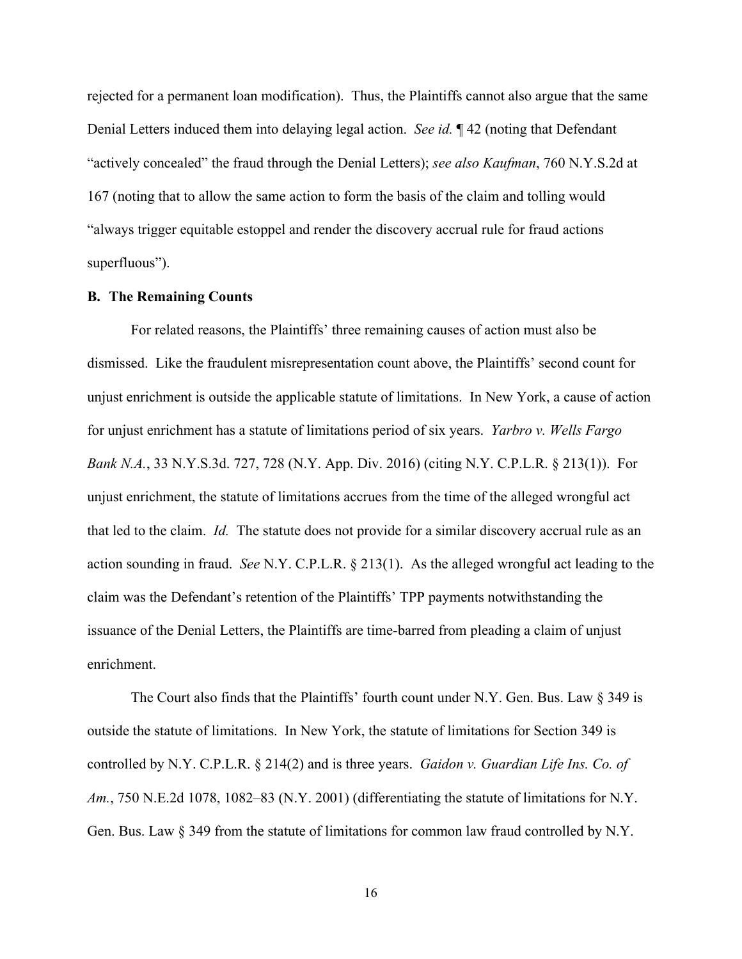rejected for a permanent loan modification). Thus, the Plaintiffs cannot also argue that the same Denial Letters induced them into delaying legal action. *See id.* ¶ 42 (noting that Defendant "actively concealed" the fraud through the Denial Letters); *see also Kaufman*, 760 N.Y.S.2d at 167 (noting that to allow the same action to form the basis of the claim and tolling would "always trigger equitable estoppel and render the discovery accrual rule for fraud actions superfluous").

## **B. The Remaining Counts**

For related reasons, the Plaintiffs' three remaining causes of action must also be dismissed. Like the fraudulent misrepresentation count above, the Plaintiffs' second count for unjust enrichment is outside the applicable statute of limitations. In New York, a cause of action for unjust enrichment has a statute of limitations period of six years. *Yarbro v. Wells Fargo Bank N.A.*, 33 N.Y.S.3d. 727, 728 (N.Y. App. Div. 2016) (citing N.Y. C.P.L.R. § 213(1)). For unjust enrichment, the statute of limitations accrues from the time of the alleged wrongful act that led to the claim. *Id.* The statute does not provide for a similar discovery accrual rule as an action sounding in fraud. *See* N.Y. C.P.L.R. § 213(1). As the alleged wrongful act leading to the claim was the Defendant's retention of the Plaintiffs' TPP payments notwithstanding the issuance of the Denial Letters, the Plaintiffs are time-barred from pleading a claim of unjust enrichment.

The Court also finds that the Plaintiffs' fourth count under N.Y. Gen. Bus. Law  $\S 349$  is outside the statute of limitations. In New York, the statute of limitations for Section 349 is controlled by N.Y. C.P.L.R. § 214(2) and is three years. *Gaidon v. Guardian Life Ins. Co. of Am.*, 750 N.E.2d 1078, 1082–83 (N.Y. 2001) (differentiating the statute of limitations for N.Y. Gen. Bus. Law  $\S 349$  from the statute of limitations for common law fraud controlled by N.Y.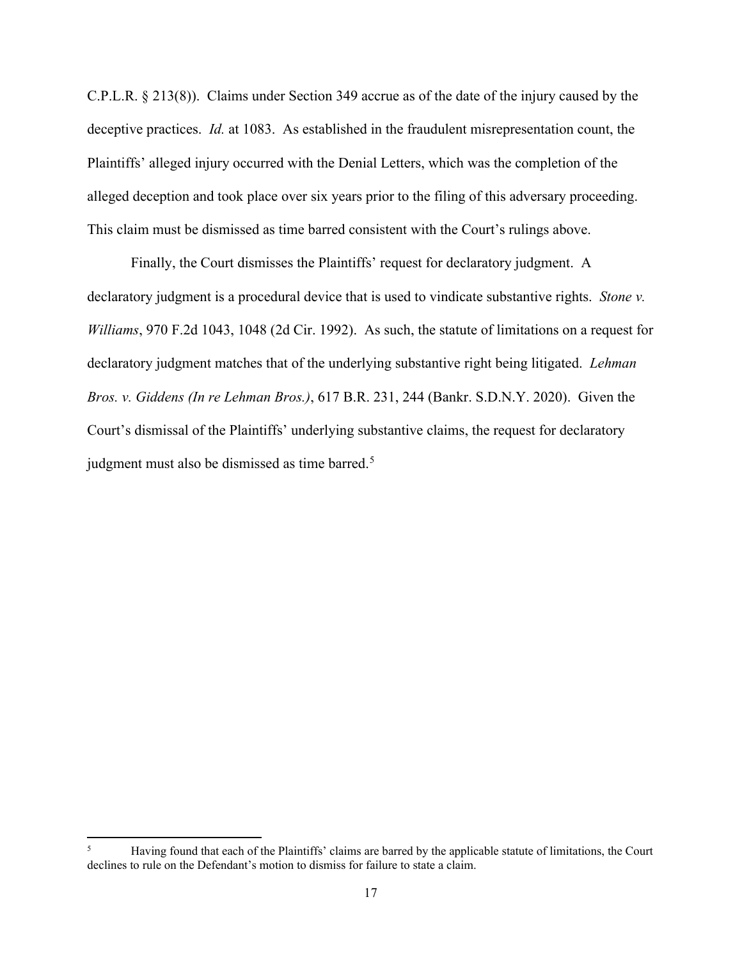C.P.L.R. § 213(8)). Claims under Section 349 accrue as of the date of the injury caused by the deceptive practices. *Id.* at 1083. As established in the fraudulent misrepresentation count, the Plaintiffs' alleged injury occurred with the Denial Letters, which was the completion of the alleged deception and took place over six years prior to the filing of this adversary proceeding. This claim must be dismissed as time barred consistent with the Court's rulings above.

Finally, the Court dismisses the Plaintiffs' request for declaratory judgment. A declaratory judgment is a procedural device that is used to vindicate substantive rights. *Stone v. Williams*, 970 F.2d 1043, 1048 (2d Cir. 1992). As such, the statute of limitations on a request for declaratory judgment matches that of the underlying substantive right being litigated. *Lehman Bros. v. Giddens (In re Lehman Bros.)*, 617 B.R. 231, 244 (Bankr. S.D.N.Y. 2020). Given the Court's dismissal of the Plaintiffs' underlying substantive claims, the request for declaratory judgment must also be dismissed as time barred.<sup>[5](#page-16-0)</sup>

<span id="page-16-0"></span><sup>&</sup>lt;sup>5</sup> Having found that each of the Plaintiffs' claims are barred by the applicable statute of limitations, the Court declines to rule on the Defendant's motion to dismiss for failure to state a claim.